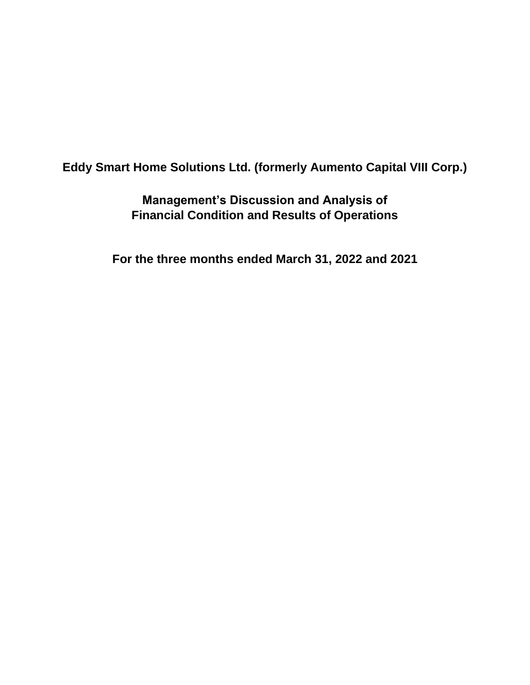# **Eddy Smart Home Solutions Ltd. (formerly Aumento Capital VIII Corp.)**

**Management's Discussion and Analysis of Financial Condition and Results of Operations**

**For the three months ended March 31, 2022 and 2021**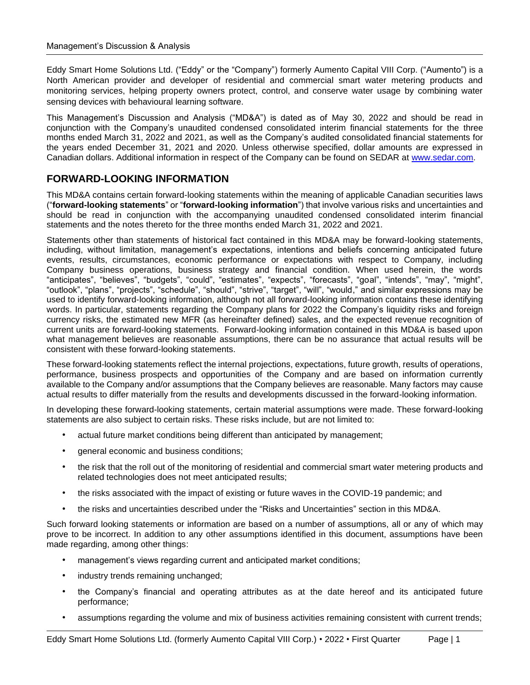Eddy Smart Home Solutions Ltd. ("Eddy" or the "Company") formerly Aumento Capital VIII Corp. ("Aumento") is a North American provider and developer of residential and commercial smart water metering products and monitoring services, helping property owners protect, control, and conserve water usage by combining water sensing devices with behavioural learning software.

This Management's Discussion and Analysis ("MD&A") is dated as of May 30, 2022 and should be read in conjunction with the Company's unaudited condensed consolidated interim financial statements for the three months ended March 31, 2022 and 2021, as well as the Company's audited consolidated financial statements for the years ended December 31, 2021 and 2020. Unless otherwise specified, dollar amounts are expressed in Canadian dollars. Additional information in respect of the Company can be found on SEDAR at [www.sedar.com.](http://www.sedar.com/)

# **FORWARD-LOOKING INFORMATION**

This MD&A contains certain forward-looking statements within the meaning of applicable Canadian securities laws ("**forward-looking statements**" or "**forward-looking information**") that involve various risks and uncertainties and should be read in conjunction with the accompanying unaudited condensed consolidated interim financial statements and the notes thereto for the three months ended March 31, 2022 and 2021.

Statements other than statements of historical fact contained in this MD&A may be forward-looking statements, including, without limitation, management's expectations, intentions and beliefs concerning anticipated future events, results, circumstances, economic performance or expectations with respect to Company, including Company business operations, business strategy and financial condition. When used herein, the words "anticipates", "believes", "budgets", "could", "estimates", "expects", "forecasts", "goal", "intends", "may", "might", "outlook", "plans", "projects", "schedule", "should", "strive", "target", "will", "would," and similar expressions may be used to identify forward-looking information, although not all forward-looking information contains these identifying words. In particular, statements regarding the Company plans for 2022 the Company's liquidity risks and foreign currency risks, the estimated new MFR (as hereinafter defined) sales, and the expected revenue recognition of current units are forward-looking statements. Forward-looking information contained in this MD&A is based upon what management believes are reasonable assumptions, there can be no assurance that actual results will be consistent with these forward-looking statements.

These forward-looking statements reflect the internal projections, expectations, future growth, results of operations, performance, business prospects and opportunities of the Company and are based on information currently available to the Company and/or assumptions that the Company believes are reasonable. Many factors may cause actual results to differ materially from the results and developments discussed in the forward-looking information.

In developing these forward-looking statements, certain material assumptions were made. These forward-looking statements are also subject to certain risks. These risks include, but are not limited to:

- actual future market conditions being different than anticipated by management;
- general economic and business conditions;
- the risk that the roll out of the monitoring of residential and commercial smart water metering products and related technologies does not meet anticipated results;
- the risks associated with the impact of existing or future waves in the COVID-19 pandemic; and
- the risks and uncertainties described under the "Risks and Uncertainties" section in this MD&A.

Such forward looking statements or information are based on a number of assumptions, all or any of which may prove to be incorrect. In addition to any other assumptions identified in this document, assumptions have been made regarding, among other things:

- management's views regarding current and anticipated market conditions;
- industry trends remaining unchanged;
- the Company's financial and operating attributes as at the date hereof and its anticipated future performance;
- assumptions regarding the volume and mix of business activities remaining consistent with current trends;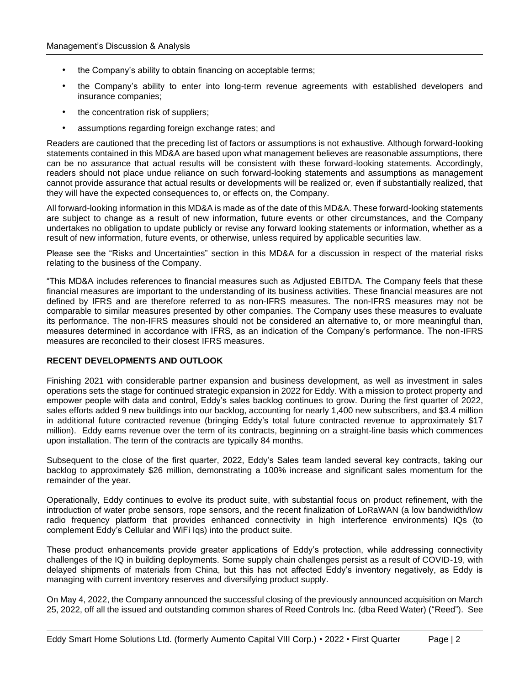- the Company's ability to obtain financing on acceptable terms;
- the Company's ability to enter into long-term revenue agreements with established developers and insurance companies;
- the concentration risk of suppliers;
- assumptions regarding foreign exchange rates; and

Readers are cautioned that the preceding list of factors or assumptions is not exhaustive. Although forward-looking statements contained in this MD&A are based upon what management believes are reasonable assumptions, there can be no assurance that actual results will be consistent with these forward-looking statements. Accordingly, readers should not place undue reliance on such forward-looking statements and assumptions as management cannot provide assurance that actual results or developments will be realized or, even if substantially realized, that they will have the expected consequences to, or effects on, the Company.

All forward-looking information in this MD&A is made as of the date of this MD&A. These forward-looking statements are subject to change as a result of new information, future events or other circumstances, and the Company undertakes no obligation to update publicly or revise any forward looking statements or information, whether as a result of new information, future events, or otherwise, unless required by applicable securities law.

Please see the "Risks and Uncertainties" section in this MD&A for a discussion in respect of the material risks relating to the business of the Company.

"This MD&A includes references to financial measures such as Adjusted EBITDA. The Company feels that these financial measures are important to the understanding of its business activities. These financial measures are not defined by IFRS and are therefore referred to as non-IFRS measures. The non-IFRS measures may not be comparable to similar measures presented by other companies. The Company uses these measures to evaluate its performance. The non-IFRS measures should not be considered an alternative to, or more meaningful than, measures determined in accordance with IFRS, as an indication of the Company's performance. The non-IFRS measures are reconciled to their closest IFRS measures.

### **RECENT DEVELOPMENTS AND OUTLOOK**

Finishing 2021 with considerable partner expansion and business development, as well as investment in sales operations sets the stage for continued strategic expansion in 2022 for Eddy. With a mission to protect property and empower people with data and control, Eddy's sales backlog continues to grow. During the first quarter of 2022, sales efforts added 9 new buildings into our backlog, accounting for nearly 1,400 new subscribers, and \$3.4 million in additional future contracted revenue (bringing Eddy's total future contracted revenue to approximately \$17 million). Eddy earns revenue over the term of its contracts, beginning on a straight-line basis which commences upon installation. The term of the contracts are typically 84 months.

Subsequent to the close of the first quarter, 2022, Eddy's Sales team landed several key contracts, taking our backlog to approximately \$26 million, demonstrating a 100% increase and significant sales momentum for the remainder of the year.

Operationally, Eddy continues to evolve its product suite, with substantial focus on product refinement, with the introduction of water probe sensors, rope sensors, and the recent finalization of LoRaWAN (a low bandwidth/low radio frequency platform that provides enhanced connectivity in high interference environments) IQs (to complement Eddy's Cellular and WiFi Iqs) into the product suite.

These product enhancements provide greater applications of Eddy's protection, while addressing connectivity challenges of the IQ in building deployments. Some supply chain challenges persist as a result of COVID-19, with delayed shipments of materials from China, but this has not affected Eddy's inventory negatively, as Eddy is managing with current inventory reserves and diversifying product supply.

On May 4, 2022, the Company announced the successful closing of the previously announced acquisition on March 25, 2022, off all the issued and outstanding common shares of Reed Controls Inc. (dba Reed Water) ("Reed"). See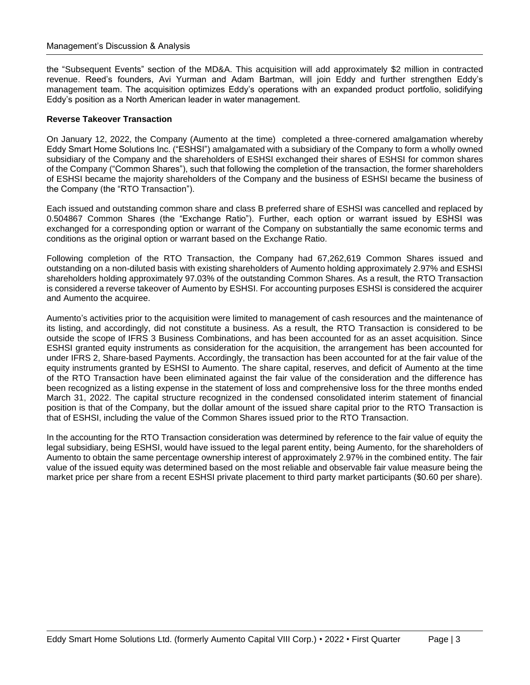the "Subsequent Events" section of the MD&A. This acquisition will add approximately \$2 million in contracted revenue. Reed's founders, Avi Yurman and Adam Bartman, will join Eddy and further strengthen Eddy's management team. The acquisition optimizes Eddy's operations with an expanded product portfolio, solidifying Eddy's position as a North American leader in water management.

#### **Reverse Takeover Transaction**

On January 12, 2022, the Company (Aumento at the time) completed a three-cornered amalgamation whereby Eddy Smart Home Solutions Inc. ("ESHSI") amalgamated with a subsidiary of the Company to form a wholly owned subsidiary of the Company and the shareholders of ESHSI exchanged their shares of ESHSI for common shares of the Company ("Common Shares"), such that following the completion of the transaction, the former shareholders of ESHSI became the majority shareholders of the Company and the business of ESHSI became the business of the Company (the "RTO Transaction").

Each issued and outstanding common share and class B preferred share of ESHSI was cancelled and replaced by 0.504867 Common Shares (the "Exchange Ratio"). Further, each option or warrant issued by ESHSI was exchanged for a corresponding option or warrant of the Company on substantially the same economic terms and conditions as the original option or warrant based on the Exchange Ratio.

Following completion of the RTO Transaction, the Company had 67,262,619 Common Shares issued and outstanding on a non-diluted basis with existing shareholders of Aumento holding approximately 2.97% and ESHSI shareholders holding approximately 97.03% of the outstanding Common Shares. As a result, the RTO Transaction is considered a reverse takeover of Aumento by ESHSI. For accounting purposes ESHSI is considered the acquirer and Aumento the acquiree.

Aumento's activities prior to the acquisition were limited to management of cash resources and the maintenance of its listing, and accordingly, did not constitute a business. As a result, the RTO Transaction is considered to be outside the scope of IFRS 3 Business Combinations, and has been accounted for as an asset acquisition. Since ESHSI granted equity instruments as consideration for the acquisition, the arrangement has been accounted for under IFRS 2, Share-based Payments. Accordingly, the transaction has been accounted for at the fair value of the equity instruments granted by ESHSI to Aumento. The share capital, reserves, and deficit of Aumento at the time of the RTO Transaction have been eliminated against the fair value of the consideration and the difference has been recognized as a listing expense in the statement of loss and comprehensive loss for the three months ended March 31, 2022. The capital structure recognized in the condensed consolidated interim statement of financial position is that of the Company, but the dollar amount of the issued share capital prior to the RTO Transaction is that of ESHSI, including the value of the Common Shares issued prior to the RTO Transaction.

In the accounting for the RTO Transaction consideration was determined by reference to the fair value of equity the legal subsidiary, being ESHSI, would have issued to the legal parent entity, being Aumento, for the shareholders of Aumento to obtain the same percentage ownership interest of approximately 2.97% in the combined entity. The fair value of the issued equity was determined based on the most reliable and observable fair value measure being the market price per share from a recent ESHSI private placement to third party market participants (\$0.60 per share).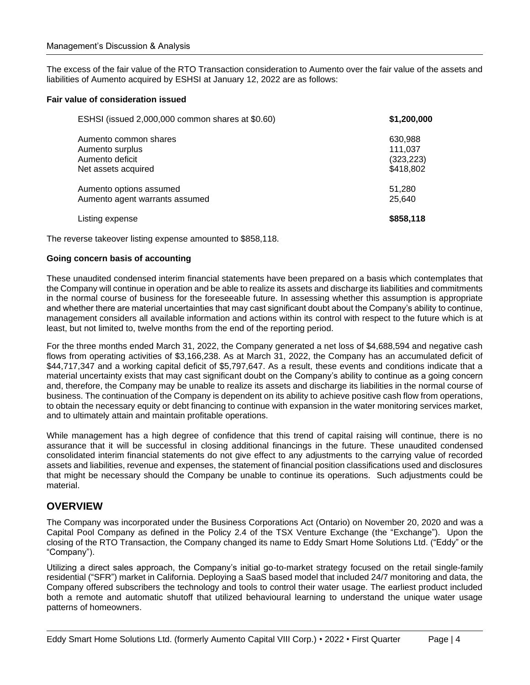The excess of the fair value of the RTO Transaction consideration to Aumento over the fair value of the assets and liabilities of Aumento acquired by ESHSI at January 12, 2022 are as follows:

### **Fair value of consideration issued**

| ESHSI (issued 2,000,000 common shares at \$0.60) | \$1,200,000 |
|--------------------------------------------------|-------------|
| Aumento common shares                            | 630,988     |
| Aumento surplus                                  | 111,037     |
| Aumento deficit                                  | (323, 223)  |
| Net assets acquired                              | \$418,802   |
| Aumento options assumed                          | 51,280      |
| Aumento agent warrants assumed                   | 25.640      |
| Listing expense                                  | \$858,118   |

The reverse takeover listing expense amounted to \$858,118.

#### **Going concern basis of accounting**

These unaudited condensed interim financial statements have been prepared on a basis which contemplates that the Company will continue in operation and be able to realize its assets and discharge its liabilities and commitments in the normal course of business for the foreseeable future. In assessing whether this assumption is appropriate and whether there are material uncertainties that may cast significant doubt about the Company's ability to continue, management considers all available information and actions within its control with respect to the future which is at least, but not limited to, twelve months from the end of the reporting period.

For the three months ended March 31, 2022, the Company generated a net loss of \$4,688,594 and negative cash flows from operating activities of \$3,166,238. As at March 31, 2022, the Company has an accumulated deficit of \$44,717,347 and a working capital deficit of \$5,797,647. As a result, these events and conditions indicate that a material uncertainty exists that may cast significant doubt on the Company's ability to continue as a going concern and, therefore, the Company may be unable to realize its assets and discharge its liabilities in the normal course of business. The continuation of the Company is dependent on its ability to achieve positive cash flow from operations, to obtain the necessary equity or debt financing to continue with expansion in the water monitoring services market, and to ultimately attain and maintain profitable operations.

While management has a high degree of confidence that this trend of capital raising will continue, there is no assurance that it will be successful in closing additional financings in the future. These unaudited condensed consolidated interim financial statements do not give effect to any adjustments to the carrying value of recorded assets and liabilities, revenue and expenses, the statement of financial position classifications used and disclosures that might be necessary should the Company be unable to continue its operations. Such adjustments could be material.

### **OVERVIEW**

The Company was incorporated under the Business Corporations Act (Ontario) on November 20, 2020 and was a Capital Pool Company as defined in the Policy 2.4 of the TSX Venture Exchange (the "Exchange"). Upon the closing of the RTO Transaction, the Company changed its name to Eddy Smart Home Solutions Ltd. ("Eddy" or the "Company").

Utilizing a direct sales approach, the Company's initial go-to-market strategy focused on the retail single-family residential ("SFR") market in California. Deploying a SaaS based model that included 24/7 monitoring and data, the Company offered subscribers the technology and tools to control their water usage. The earliest product included both a remote and automatic shutoff that utilized behavioural learning to understand the unique water usage patterns of homeowners.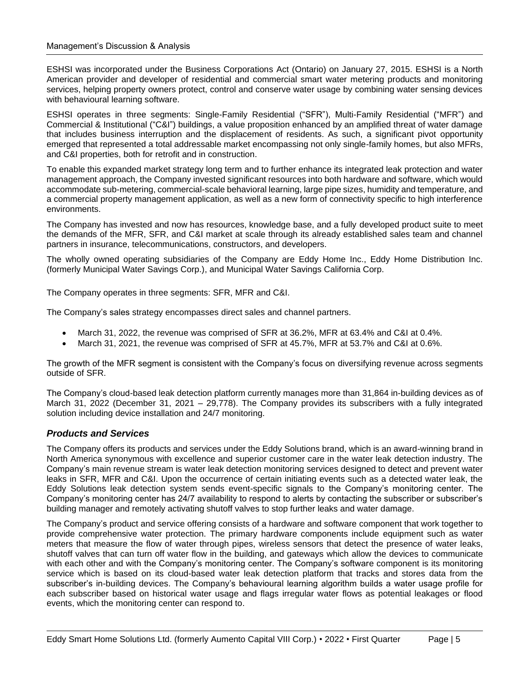ESHSI was incorporated under the Business Corporations Act (Ontario) on January 27, 2015. ESHSI is a North American provider and developer of residential and commercial smart water metering products and monitoring services, helping property owners protect, control and conserve water usage by combining water sensing devices with behavioural learning software.

ESHSI operates in three segments: Single-Family Residential ("SFR"), Multi-Family Residential ("MFR") and Commercial & Institutional ("C&I") buildings, a value proposition enhanced by an amplified threat of water damage that includes business interruption and the displacement of residents. As such, a significant pivot opportunity emerged that represented a total addressable market encompassing not only single-family homes, but also MFRs, and C&I properties, both for retrofit and in construction.

To enable this expanded market strategy long term and to further enhance its integrated leak protection and water management approach, the Company invested significant resources into both hardware and software, which would accommodate sub-metering, commercial-scale behavioral learning, large pipe sizes, humidity and temperature, and a commercial property management application, as well as a new form of connectivity specific to high interference environments.

The Company has invested and now has resources, knowledge base, and a fully developed product suite to meet the demands of the MFR, SFR, and C&I market at scale through its already established sales team and channel partners in insurance, telecommunications, constructors, and developers.

The wholly owned operating subsidiaries of the Company are Eddy Home Inc., Eddy Home Distribution Inc. (formerly Municipal Water Savings Corp.), and Municipal Water Savings California Corp.

The Company operates in three segments: SFR, MFR and C&I.

The Company's sales strategy encompasses direct sales and channel partners.

- March 31, 2022, the revenue was comprised of SFR at 36.2%, MFR at 63.4% and C&I at 0.4%.
- March 31, 2021, the revenue was comprised of SFR at 45.7%, MFR at 53.7% and C&I at 0.6%.

The growth of the MFR segment is consistent with the Company's focus on diversifying revenue across segments outside of SFR.

The Company's cloud-based leak detection platform currently manages more than 31,864 in-building devices as of March 31, 2022 (December 31, 2021 – 29,778). The Company provides its subscribers with a fully integrated solution including device installation and 24/7 monitoring.

### *Products and Services*

The Company offers its products and services under the Eddy Solutions brand, which is an award-winning brand in North America synonymous with excellence and superior customer care in the water leak detection industry. The Company's main revenue stream is water leak detection monitoring services designed to detect and prevent water leaks in SFR, MFR and C&I. Upon the occurrence of certain initiating events such as a detected water leak, the Eddy Solutions leak detection system sends event-specific signals to the Company's monitoring center. The Company's monitoring center has 24/7 availability to respond to alerts by contacting the subscriber or subscriber's building manager and remotely activating shutoff valves to stop further leaks and water damage.

The Company's product and service offering consists of a hardware and software component that work together to provide comprehensive water protection. The primary hardware components include equipment such as water meters that measure the flow of water through pipes, wireless sensors that detect the presence of water leaks, shutoff valves that can turn off water flow in the building, and gateways which allow the devices to communicate with each other and with the Company's monitoring center. The Company's software component is its monitoring service which is based on its cloud-based water leak detection platform that tracks and stores data from the subscriber's in-building devices. The Company's behavioural learning algorithm builds a water usage profile for each subscriber based on historical water usage and flags irregular water flows as potential leakages or flood events, which the monitoring center can respond to.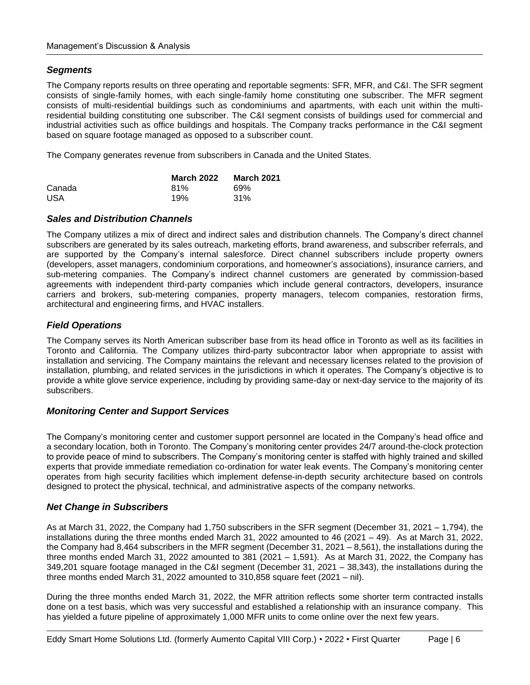### *Segments*

The Company reports results on three operating and reportable segments: SFR, MFR, and C&I. The SFR segment consists of single-family homes, with each single-family home constituting one subscriber. The MFR segment consists of multi-residential buildings such as condominiums and apartments, with each unit within the multiresidential building constituting one subscriber. The C&I segment consists of buildings used for commercial and industrial activities such as office buildings and hospitals. The Company tracks performance in the C&I segment based on square footage managed as opposed to a subscriber count.

The Company generates revenue from subscribers in Canada and the United States.

|            | <b>March 2022</b> | <b>March 2021</b> |
|------------|-------------------|-------------------|
| Canada     | 81%               | 69%               |
| <b>USA</b> | 19%               | 31%               |

### *Sales and Distribution Channels*

The Company utilizes a mix of direct and indirect sales and distribution channels. The Company's direct channel subscribers are generated by its sales outreach, marketing efforts, brand awareness, and subscriber referrals, and are supported by the Company's internal salesforce. Direct channel subscribers include property owners (developers, asset managers, condominium corporations, and homeowner's associations), insurance carriers, and sub-metering companies. The Company's indirect channel customers are generated by commission-based agreements with independent third-party companies which include general contractors, developers, insurance carriers and brokers, sub-metering companies, property managers, telecom companies, restoration firms, architectural and engineering firms, and HVAC installers.

### *Field Operations*

The Company serves its North American subscriber base from its head office in Toronto as well as its facilities in Toronto and California. The Company utilizes third-party subcontractor labor when appropriate to assist with installation and servicing. The Company maintains the relevant and necessary licenses related to the provision of installation, plumbing, and related services in the jurisdictions in which it operates. The Company's objective is to provide a white glove service experience, including by providing same-day or next-day service to the majority of its subscribers.

### *Monitoring Center and Support Services*

The Company's monitoring center and customer support personnel are located in the Company's head office and a secondary location, both in Toronto. The Company's monitoring center provides 24/7 around-the-clock protection to provide peace of mind to subscribers. The Company's monitoring center is staffed with highly trained and skilled experts that provide immediate remediation co-ordination for water leak events. The Company's monitoring center operates from high security facilities which implement defense-in-depth security architecture based on controls designed to protect the physical, technical, and administrative aspects of the company networks.

### *Net Change in Subscribers*

As at March 31, 2022, the Company had 1,750 subscribers in the SFR segment (December 31, 2021 – 1,794), the installations during the three months ended March 31, 2022 amounted to 46 (2021 – 49). As at March 31, 2022, the Company had 8,464 subscribers in the MFR segment (December 31, 2021 – 8,561), the installations during the three months ended March 31, 2022 amounted to 381 (2021 – 1,591). As at March 31, 2022, the Company has 349,201 square footage managed in the C&I segment (December 31, 2021 – 38,343), the installations during the three months ended March 31, 2022 amounted to  $310,858$  square feet  $(2021 - \text{nil})$ .

During the three months ended March 31, 2022, the MFR attrition reflects some shorter term contracted installs done on a test basis, which was very successful and established a relationship with an insurance company. This has yielded a future pipeline of approximately 1,000 MFR units to come online over the next few years.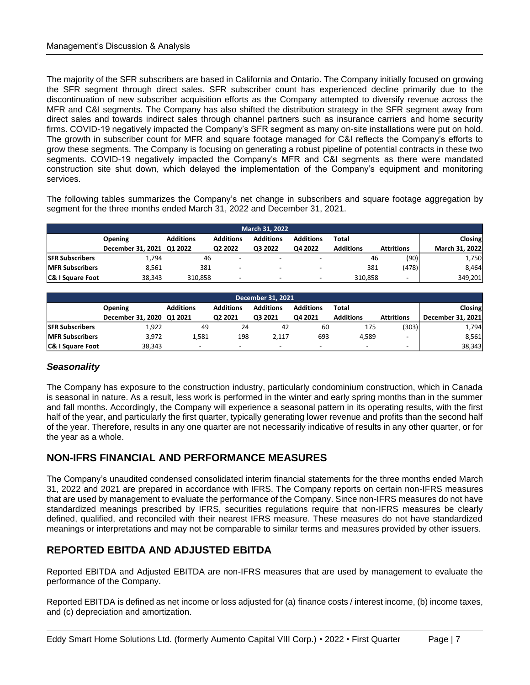The majority of the SFR subscribers are based in California and Ontario. The Company initially focused on growing the SFR segment through direct sales. SFR subscriber count has experienced decline primarily due to the discontinuation of new subscriber acquisition efforts as the Company attempted to diversify revenue across the MFR and C&I segments. The Company has also shifted the distribution strategy in the SFR segment away from direct sales and towards indirect sales through channel partners such as insurance carriers and home security firms. COVID-19 negatively impacted the Company's SFR segment as many on-site installations were put on hold. The growth in subscriber count for MFR and square footage managed for C&I reflects the Company's efforts to grow these segments. The Company is focusing on generating a robust pipeline of potential contracts in these two segments. COVID-19 negatively impacted the Company's MFR and C&I segments as there were mandated construction site shut down, which delayed the implementation of the Company's equipment and monitoring services.

The following tables summarizes the Company's net change in subscribers and square footage aggregation by segment for the three months ended March 31, 2022 and December 31, 2021.

| <b>March 31, 2022</b>       |                           |                  |                  |                  |                  |                  |                   |                |
|-----------------------------|---------------------------|------------------|------------------|------------------|------------------|------------------|-------------------|----------------|
|                             | <b>Opening</b>            | <b>Additions</b> | <b>Additions</b> | <b>Additions</b> | <b>Additions</b> | Total            |                   | Closing        |
|                             | December 31, 2021 Q1 2022 |                  | Q2 2022          | Q3 2022          | Q4 2022          | <b>Additions</b> | <b>Attritions</b> | March 31, 2022 |
| <b>SFR Subscribers</b>      | 1.794                     | 46               |                  |                  |                  | 46               | (90)              | 1,750          |
| <b>MFR Subscribers</b>      | 8.561                     | 381              |                  |                  |                  | 381              | (478)             | 8,464          |
| <b>C&amp; I Square Foot</b> | 38.343                    | 310.858          | -                |                  |                  | 310.858          | -                 | 349,201        |

| <b>December 31, 2021</b> |                           |                                                                                       |         |         |                          |                          |                          |                   |
|--------------------------|---------------------------|---------------------------------------------------------------------------------------|---------|---------|--------------------------|--------------------------|--------------------------|-------------------|
|                          | <b>Opening</b>            | <b>Additions</b><br><b>Additions</b><br><b>Additions</b><br><b>Additions</b><br>Total |         |         |                          |                          |                          |                   |
|                          | December 31, 2020 Q1 2021 |                                                                                       | 02 2021 | Q3 2021 | 04 2021                  | <b>Additions</b>         | <b>Attritions</b>        | December 31, 2021 |
| <b>SFR Subscribers</b>   | 1,922                     | 49                                                                                    | 24      | 42      | 60                       | 175                      | (303)                    | 1,794             |
| <b>MFR Subscribers</b>   | 3.972                     | 1.581                                                                                 | 198     | 2.117   | 693                      | 4.589                    | -                        | 8,561             |
| C& I Square Foot         | 38.343                    | $\overline{\phantom{a}}$                                                              | -       | -       | $\overline{\phantom{0}}$ | $\overline{\phantom{0}}$ | $\overline{\phantom{a}}$ | 38,343            |

### *Seasonality*

The Company has exposure to the construction industry, particularly condominium construction, which in Canada is seasonal in nature. As a result, less work is performed in the winter and early spring months than in the summer and fall months. Accordingly, the Company will experience a seasonal pattern in its operating results, with the first half of the year, and particularly the first quarter, typically generating lower revenue and profits than the second half of the year. Therefore, results in any one quarter are not necessarily indicative of results in any other quarter, or for the year as a whole.

# **NON-IFRS FINANCIAL AND PERFORMANCE MEASURES**

The Company's unaudited condensed consolidated interim financial statements for the three months ended March 31, 2022 and 2021 are prepared in accordance with IFRS. The Company reports on certain non-IFRS measures that are used by management to evaluate the performance of the Company. Since non-IFRS measures do not have standardized meanings prescribed by IFRS, securities regulations require that non-IFRS measures be clearly defined, qualified, and reconciled with their nearest IFRS measure. These measures do not have standardized meanings or interpretations and may not be comparable to similar terms and measures provided by other issuers.

# **REPORTED EBITDA AND ADJUSTED EBITDA**

Reported EBITDA and Adjusted EBITDA are non-IFRS measures that are used by management to evaluate the performance of the Company.

Reported EBITDA is defined as net income or loss adjusted for (a) finance costs / interest income, (b) income taxes, and (c) depreciation and amortization.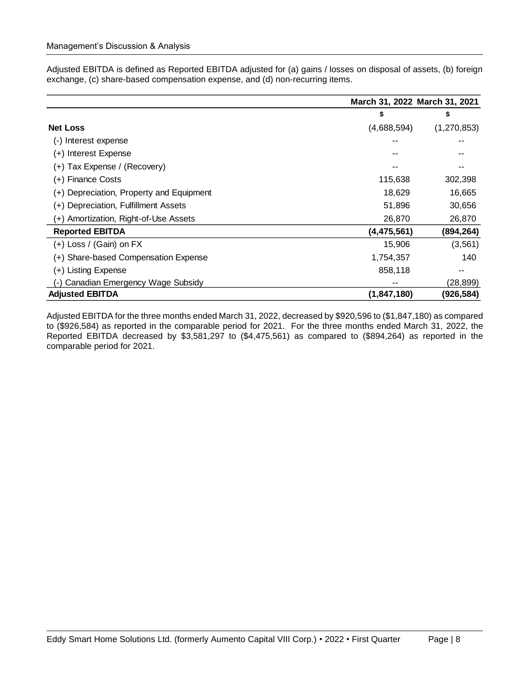Adjusted EBITDA is defined as Reported EBITDA adjusted for (a) gains / losses on disposal of assets, (b) foreign exchange, (c) share-based compensation expense, and (d) non-recurring items.

|                                          | March 31, 2022 March 31, 2021 |               |
|------------------------------------------|-------------------------------|---------------|
|                                          | \$                            | \$            |
| <b>Net Loss</b>                          | (4,688,594)                   | (1, 270, 853) |
| (-) Interest expense                     |                               |               |
| (+) Interest Expense                     |                               |               |
| (+) Tax Expense / (Recovery)             |                               | --            |
| (+) Finance Costs                        | 115,638                       | 302,398       |
| (+) Depreciation, Property and Equipment | 18,629                        | 16,665        |
| (+) Depreciation, Fulfillment Assets     | 51,896                        | 30,656        |
| (+) Amortization, Right-of-Use Assets    | 26,870                        | 26,870        |
| <b>Reported EBITDA</b>                   | (4, 475, 561)                 | (894, 264)    |
| $(+)$ Loss / (Gain) on FX                | 15,906                        | (3, 561)      |
| (+) Share-based Compensation Expense     | 1,754,357                     | 140           |
| (+) Listing Expense                      | 858,118                       | --            |
| Canadian Emergency Wage Subsidy          |                               | (28,899)      |
| <b>Adjusted EBITDA</b>                   | (1, 847, 180)                 | (926, 584)    |

Adjusted EBITDA for the three months ended March 31, 2022, decreased by \$920,596 to (\$1,847,180) as compared to (\$926,584) as reported in the comparable period for 2021. For the three months ended March 31, 2022, the Reported EBITDA decreased by \$3,581,297 to (\$4,475,561) as compared to (\$894,264) as reported in the comparable period for 2021.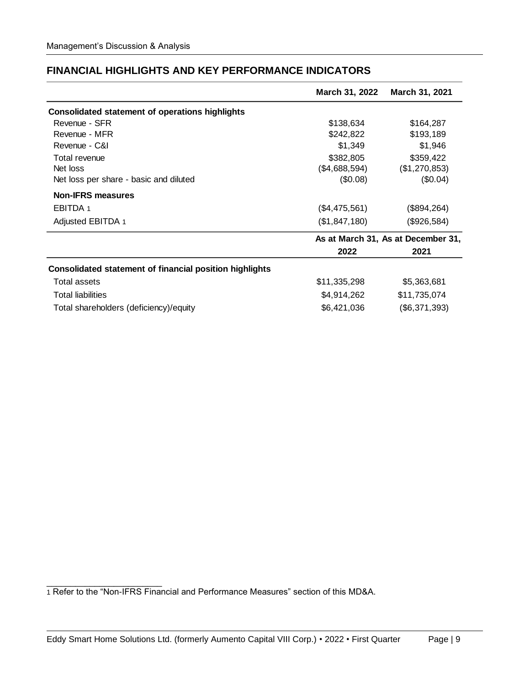|  | <b>FINANCIAL HIGHLIGHTS AND KEY PERFORMANCE INDICATORS</b> |
|--|------------------------------------------------------------|
|--|------------------------------------------------------------|

|                                                                | March 31, 2022 | March 31, 2021                     |
|----------------------------------------------------------------|----------------|------------------------------------|
| <b>Consolidated statement of operations highlights</b>         |                |                                    |
| Revenue - SFR                                                  | \$138,634      | \$164,287                          |
| Revenue - MFR                                                  | \$242,822      | \$193,189                          |
| Revenue - C&I                                                  | \$1,349        | \$1,946                            |
| Total revenue                                                  | \$382,805      | \$359,422                          |
| Net loss                                                       | (\$4,688,594)  | (\$1,270,853)                      |
| Net loss per share - basic and diluted                         | (\$0.08)       | (\$0.04)                           |
| <b>Non-IFRS measures</b>                                       |                |                                    |
| EBITDA 1                                                       | (\$4,475,561)  | (\$894,264)                        |
| Adjusted EBITDA 1                                              | (\$1,847,180)  | (\$926,584)                        |
|                                                                |                | As at March 31, As at December 31, |
|                                                                | 2022           | 2021                               |
| <b>Consolidated statement of financial position highlights</b> |                |                                    |
| Total assets                                                   | \$11,335,298   | \$5,363,681                        |
| <b>Total liabilities</b>                                       | \$4,914,262    | \$11,735,074                       |
| Total shareholders (deficiency)/equity                         | \$6,421,036    | (\$6,371,393)                      |

\_\_\_\_\_\_\_\_\_\_\_\_\_\_\_\_\_\_\_\_\_\_\_\_ 1 Refer to the "Non-IFRS Financial and Performance Measures" section of this MD&A.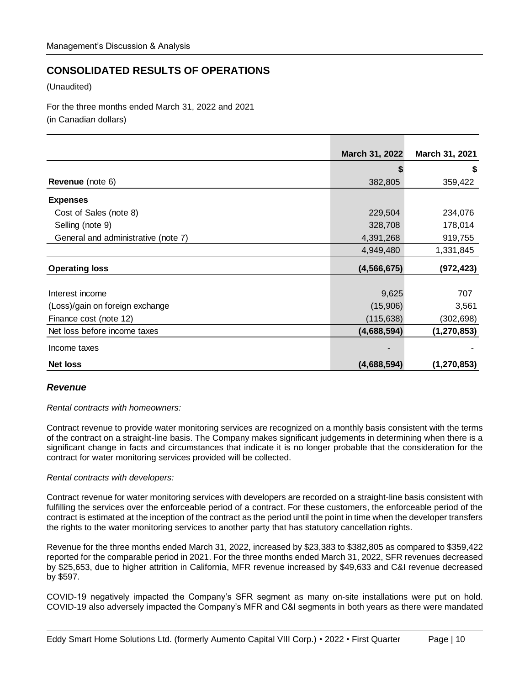# **CONSOLIDATED RESULTS OF OPERATIONS**

(Unaudited)

For the three months ended March 31, 2022 and 2021

(in Canadian dollars)

|                                     | March 31, 2022 | March 31, 2021 |
|-------------------------------------|----------------|----------------|
|                                     |                | \$             |
| Revenue (note 6)                    | 382,805        | 359,422        |
| <b>Expenses</b>                     |                |                |
| Cost of Sales (note 8)              | 229,504        | 234,076        |
| Selling (note 9)                    | 328,708        | 178,014        |
| General and administrative (note 7) | 4,391,268      | 919,755        |
|                                     | 4,949,480      | 1,331,845      |
| <b>Operating loss</b>               | (4, 566, 675)  | (972, 423)     |
|                                     |                |                |
| Interest income                     | 9,625          | 707            |
| (Loss)/gain on foreign exchange     | (15,906)       | 3,561          |
| Finance cost (note 12)              | (115, 638)     | (302, 698)     |
| Net loss before income taxes        | (4,688,594)    | (1, 270, 853)  |
| Income taxes                        |                |                |
| <b>Net loss</b>                     | (4,688,594)    | (1, 270, 853)  |

### *Revenue*

*Rental contracts with homeowners:*

Contract revenue to provide water monitoring services are recognized on a monthly basis consistent with the terms of the contract on a straight-line basis. The Company makes significant judgements in determining when there is a significant change in facts and circumstances that indicate it is no longer probable that the consideration for the contract for water monitoring services provided will be collected.

### *Rental contracts with developers:*

Contract revenue for water monitoring services with developers are recorded on a straight-line basis consistent with fulfilling the services over the enforceable period of a contract. For these customers, the enforceable period of the contract is estimated at the inception of the contract as the period until the point in time when the developer transfers the rights to the water monitoring services to another party that has statutory cancellation rights.

Revenue for the three months ended March 31, 2022, increased by \$23,383 to \$382,805 as compared to \$359,422 reported for the comparable period in 2021. For the three months ended March 31, 2022, SFR revenues decreased by \$25,653, due to higher attrition in California, MFR revenue increased by \$49,633 and C&I revenue decreased by \$597.

COVID-19 negatively impacted the Company's SFR segment as many on-site installations were put on hold. COVID-19 also adversely impacted the Company's MFR and C&I segments in both years as there were mandated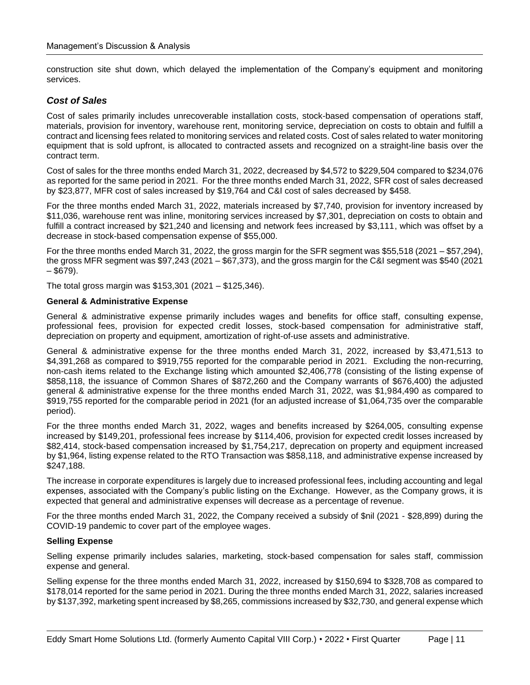construction site shut down, which delayed the implementation of the Company's equipment and monitoring services.

### *Cost of Sales*

Cost of sales primarily includes unrecoverable installation costs, stock-based compensation of operations staff, materials, provision for inventory, warehouse rent, monitoring service, depreciation on costs to obtain and fulfill a contract and licensing fees related to monitoring services and related costs. Cost of sales related to water monitoring equipment that is sold upfront, is allocated to contracted assets and recognized on a straight-line basis over the contract term.

Cost of sales for the three months ended March 31, 2022, decreased by \$4,572 to \$229,504 compared to \$234,076 as reported for the same period in 2021. For the three months ended March 31, 2022, SFR cost of sales decreased by \$23,877, MFR cost of sales increased by \$19,764 and C&I cost of sales decreased by \$458.

For the three months ended March 31, 2022, materials increased by \$7,740, provision for inventory increased by \$11,036, warehouse rent was inline, monitoring services increased by \$7,301, depreciation on costs to obtain and fulfill a contract increased by \$21,240 and licensing and network fees increased by \$3,111, which was offset by a decrease in stock-based compensation expense of \$55,000.

For the three months ended March 31, 2022, the gross margin for the SFR segment was \$55,518 (2021 – \$57,294), the gross MFR segment was \$97,243 (2021 – \$67,373), and the gross margin for the C&I segment was \$540 (2021  $-$  \$679).

The total gross margin was \$153,301 (2021 – \$125,346).

#### **General & Administrative Expense**

General & administrative expense primarily includes wages and benefits for office staff, consulting expense, professional fees, provision for expected credit losses, stock-based compensation for administrative staff, depreciation on property and equipment, amortization of right-of-use assets and administrative.

General & administrative expense for the three months ended March 31, 2022, increased by \$3,471,513 to \$4,391,268 as compared to \$919,755 reported for the comparable period in 2021. Excluding the non-recurring, non-cash items related to the Exchange listing which amounted \$2,406,778 (consisting of the listing expense of \$858,118, the issuance of Common Shares of \$872,260 and the Company warrants of \$676,400) the adjusted general & administrative expense for the three months ended March 31, 2022, was \$1,984,490 as compared to \$919,755 reported for the comparable period in 2021 (for an adjusted increase of \$1,064,735 over the comparable period).

For the three months ended March 31, 2022, wages and benefits increased by \$264,005, consulting expense increased by \$149,201, professional fees increase by \$114,406, provision for expected credit losses increased by \$82,414, stock-based compensation increased by \$1,754,217, deprecation on property and equipment increased by \$1,964, listing expense related to the RTO Transaction was \$858,118, and administrative expense increased by \$247,188.

The increase in corporate expenditures is largely due to increased professional fees, including accounting and legal expenses, associated with the Company's public listing on the Exchange. However, as the Company grows, it is expected that general and administrative expenses will decrease as a percentage of revenue.

For the three months ended March 31, 2022, the Company received a subsidy of \$nil (2021 - \$28,899) during the COVID-19 pandemic to cover part of the employee wages.

### **Selling Expense**

Selling expense primarily includes salaries, marketing, stock-based compensation for sales staff, commission expense and general.

Selling expense for the three months ended March 31, 2022, increased by \$150,694 to \$328,708 as compared to \$178,014 reported for the same period in 2021. During the three months ended March 31, 2022, salaries increased by \$137,392, marketing spent increased by \$8,265, commissions increased by \$32,730, and general expense which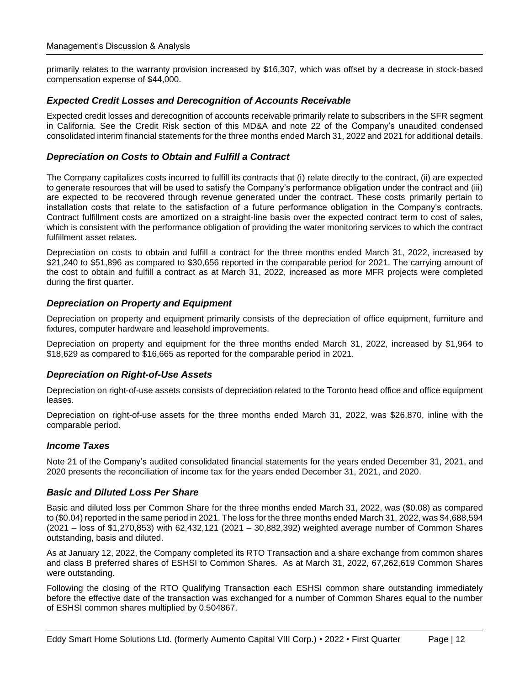primarily relates to the warranty provision increased by \$16,307, which was offset by a decrease in stock-based compensation expense of \$44,000.

### *Expected Credit Losses and Derecognition of Accounts Receivable*

Expected credit losses and derecognition of accounts receivable primarily relate to subscribers in the SFR segment in California. See the Credit Risk section of this MD&A and note 22 of the Company's unaudited condensed consolidated interim financial statements for the three months ended March 31, 2022 and 2021 for additional details.

### *Depreciation on Costs to Obtain and Fulfill a Contract*

The Company capitalizes costs incurred to fulfill its contracts that (i) relate directly to the contract, (ii) are expected to generate resources that will be used to satisfy the Company's performance obligation under the contract and (iii) are expected to be recovered through revenue generated under the contract. These costs primarily pertain to installation costs that relate to the satisfaction of a future performance obligation in the Company's contracts. Contract fulfillment costs are amortized on a straight-line basis over the expected contract term to cost of sales, which is consistent with the performance obligation of providing the water monitoring services to which the contract fulfillment asset relates.

Depreciation on costs to obtain and fulfill a contract for the three months ended March 31, 2022, increased by \$21,240 to \$51,896 as compared to \$30,656 reported in the comparable period for 2021. The carrying amount of the cost to obtain and fulfill a contract as at March 31, 2022, increased as more MFR projects were completed during the first quarter.

### *Depreciation on Property and Equipment*

Depreciation on property and equipment primarily consists of the depreciation of office equipment, furniture and fixtures, computer hardware and leasehold improvements.

Depreciation on property and equipment for the three months ended March 31, 2022, increased by \$1,964 to \$18,629 as compared to \$16,665 as reported for the comparable period in 2021.

### *Depreciation on Right-of-Use Assets*

Depreciation on right-of-use assets consists of depreciation related to the Toronto head office and office equipment leases.

Depreciation on right-of-use assets for the three months ended March 31, 2022, was \$26,870, inline with the comparable period.

### *Income Taxes*

Note 21 of the Company's audited consolidated financial statements for the years ended December 31, 2021, and 2020 presents the reconciliation of income tax for the years ended December 31, 2021, and 2020.

### *Basic and Diluted Loss Per Share*

Basic and diluted loss per Common Share for the three months ended March 31, 2022, was (\$0.08) as compared to (\$0.04) reported in the same period in 2021. The loss for the three months ended March 31, 2022, was \$4,688,594 (2021 – loss of \$1,270,853) with 62,432,121 (2021 – 30,882,392) weighted average number of Common Shares outstanding, basis and diluted.

As at January 12, 2022, the Company completed its RTO Transaction and a share exchange from common shares and class B preferred shares of ESHSI to Common Shares. As at March 31, 2022, 67,262,619 Common Shares were outstanding.

Following the closing of the RTO Qualifying Transaction each ESHSI common share outstanding immediately before the effective date of the transaction was exchanged for a number of Common Shares equal to the number of ESHSI common shares multiplied by 0.504867.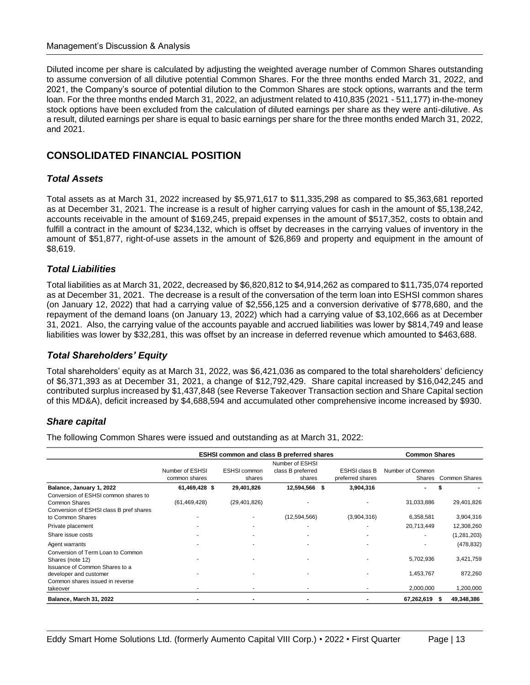Diluted income per share is calculated by adjusting the weighted average number of Common Shares outstanding to assume conversion of all dilutive potential Common Shares. For the three months ended March 31, 2022, and 2021, the Company's source of potential dilution to the Common Shares are stock options, warrants and the term loan. For the three months ended March 31, 2022, an adjustment related to 410,835 (2021 - 511,177) in-the-money stock options have been excluded from the calculation of diluted earnings per share as they were anti-dilutive. As a result, diluted earnings per share is equal to basic earnings per share for the three months ended March 31, 2022, and 2021.

# **CONSOLIDATED FINANCIAL POSITION**

### *Total Assets*

Total assets as at March 31, 2022 increased by \$5,971,617 to \$11,335,298 as compared to \$5,363,681 reported as at December 31, 2021. The increase is a result of higher carrying values for cash in the amount of \$5,138,242, accounts receivable in the amount of \$169,245, prepaid expenses in the amount of \$517,352, costs to obtain and fulfill a contract in the amount of \$234,132, which is offset by decreases in the carrying values of inventory in the amount of \$51,877, right-of-use assets in the amount of \$26,869 and property and equipment in the amount of \$8,619.

### *Total Liabilities*

Total liabilities as at March 31, 2022, decreased by \$6,820,812 to \$4,914,262 as compared to \$11,735,074 reported as at December 31, 2021. The decrease is a result of the conversation of the term loan into ESHSI common shares (on January 12, 2022) that had a carrying value of \$2,556,125 and a conversion derivative of \$778,680, and the repayment of the demand loans (on January 13, 2022) which had a carrying value of \$3,102,666 as at December 31, 2021. Also, the carrying value of the accounts payable and accrued liabilities was lower by \$814,749 and lease liabilities was lower by \$32,281, this was offset by an increase in deferred revenue which amounted to \$463,688.

### *Total Shareholders' Equity*

Total shareholders' equity as at March 31, 2022, was \$6,421,036 as compared to the total shareholders' deficiency of \$6,371,393 as at December 31, 2021, a change of \$12,792,429. Share capital increased by \$16,042,245 and contributed surplus increased by \$1,437,848 (see Reverse Takeover Transaction section and Share Capital section of this MD&A), deficit increased by \$4,688,594 and accumulated other comprehensive income increased by \$930.

### *Share capital*

The following Common Shares were issued and outstanding as at March 31, 2022:

|                                                                                                  | <b>ESHSI common and class B preferred shares</b> |                               |                                                |                                          |                  | <b>Common Shares</b> |  |  |
|--------------------------------------------------------------------------------------------------|--------------------------------------------------|-------------------------------|------------------------------------------------|------------------------------------------|------------------|----------------------|--|--|
|                                                                                                  | Number of ESHSI<br>common shares                 | <b>ESHSI common</b><br>shares | Number of ESHSI<br>class B preferred<br>shares | <b>ESHSI class B</b><br>preferred shares | Number of Common | Shares Common Shares |  |  |
| Balance, January 1, 2022                                                                         | 61,469,428 \$                                    | 29,401,826                    | 12,594,566<br>Ŝ.                               | 3,904,316                                |                  |                      |  |  |
| Conversion of ESHSI common shares to<br>Common Shares<br>Conversion of ESHSI class B pref shares | (61, 469, 428)                                   | (29, 401, 826)                |                                                |                                          | 31,033,886       | 29,401,826           |  |  |
| to Common Shares                                                                                 |                                                  |                               | (12, 594, 566)                                 | (3,904,316)                              | 6,358,581        | 3,904,316            |  |  |
| Private placement                                                                                |                                                  |                               |                                                |                                          | 20,713,449       | 12,308,260           |  |  |
| Share issue costs                                                                                |                                                  |                               |                                                |                                          |                  | (1,281,203)          |  |  |
| Agent warrants                                                                                   |                                                  |                               |                                                |                                          |                  | (478, 832)           |  |  |
| Conversion of Term Loan to Common<br>Shares (note 12)<br>Issuance of Common Shares to a          |                                                  |                               |                                                |                                          | 5,702,936        | 3,421,759            |  |  |
| developer and customer                                                                           |                                                  |                               |                                                |                                          | 1,453,767        | 872,260              |  |  |
| Common shares issued in reverse                                                                  |                                                  |                               |                                                |                                          |                  |                      |  |  |
| takeover                                                                                         |                                                  |                               |                                                |                                          | 2,000,000        | 1,200,000            |  |  |
| Balance, March 31, 2022                                                                          |                                                  |                               |                                                |                                          | 67,262,619       | 49,348,386<br>-55    |  |  |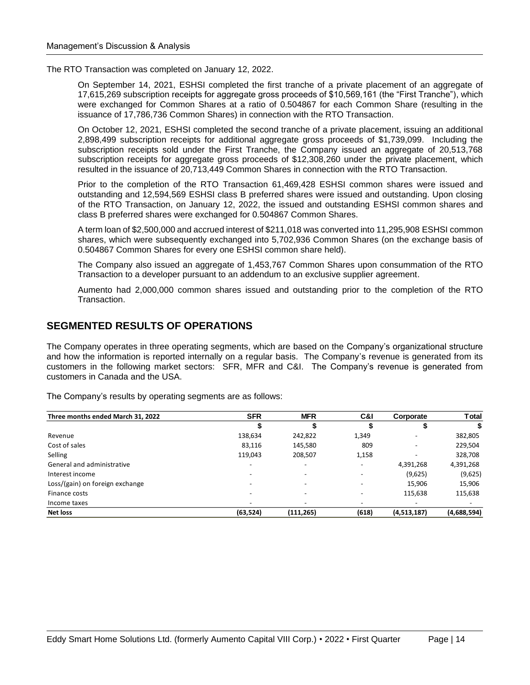The RTO Transaction was completed on January 12, 2022.

On September 14, 2021, ESHSI completed the first tranche of a private placement of an aggregate of 17,615,269 subscription receipts for aggregate gross proceeds of \$10,569,161 (the "First Tranche"), which were exchanged for Common Shares at a ratio of 0.504867 for each Common Share (resulting in the issuance of 17,786,736 Common Shares) in connection with the RTO Transaction.

On October 12, 2021, ESHSI completed the second tranche of a private placement, issuing an additional 2,898,499 subscription receipts for additional aggregate gross proceeds of \$1,739,099. Including the subscription receipts sold under the First Tranche, the Company issued an aggregate of 20,513,768 subscription receipts for aggregate gross proceeds of \$12,308,260 under the private placement, which resulted in the issuance of 20,713,449 Common Shares in connection with the RTO Transaction.

Prior to the completion of the RTO Transaction 61,469,428 ESHSI common shares were issued and outstanding and 12,594,569 ESHSI class B preferred shares were issued and outstanding. Upon closing of the RTO Transaction, on January 12, 2022, the issued and outstanding ESHSI common shares and class B preferred shares were exchanged for 0.504867 Common Shares.

A term loan of \$2,500,000 and accrued interest of \$211,018 was converted into 11,295,908 ESHSI common shares, which were subsequently exchanged into 5,702,936 Common Shares (on the exchange basis of 0.504867 Common Shares for every one ESHSI common share held).

The Company also issued an aggregate of 1,453,767 Common Shares upon consummation of the RTO Transaction to a developer pursuant to an addendum to an exclusive supplier agreement.

Aumento had 2,000,000 common shares issued and outstanding prior to the completion of the RTO Transaction.

# **SEGMENTED RESULTS OF OPERATIONS**

The Company operates in three operating segments, which are based on the Company's organizational structure and how the information is reported internally on a regular basis. The Company's revenue is generated from its customers in the following market sectors: SFR, MFR and C&I. The Company's revenue is generated from customers in Canada and the USA.

| Three months ended March 31, 2022 | <b>SFR</b>               | <b>MFR</b>               | C&I   | Corporate   | Total       |
|-----------------------------------|--------------------------|--------------------------|-------|-------------|-------------|
|                                   | Φ                        |                          |       |             |             |
| Revenue                           | 138,634                  | 242,822                  | 1,349 |             | 382,805     |
| Cost of sales                     | 83,116                   | 145,580                  | 809   |             | 229,504     |
| Selling                           | 119,043                  | 208,507                  | 1,158 |             | 328,708     |
| General and administrative        | $\overline{\phantom{a}}$ | $\overline{\phantom{a}}$ | -     | 4,391,268   | 4,391,268   |
| Interest income                   |                          | $\overline{\phantom{a}}$ | -     | (9,625)     | (9,625)     |
| Loss/(gain) on foreign exchange   |                          |                          |       | 15,906      | 15,906      |
| Finance costs                     |                          | $\overline{\phantom{a}}$ | -     | 115,638     | 115,638     |
| Income taxes                      |                          | $\overline{\phantom{a}}$ |       |             |             |
| Net loss                          | (63, 524)                | (111, 265)               | (618) | (4,513,187) | (4,688,594) |

The Company's results by operating segments are as follows: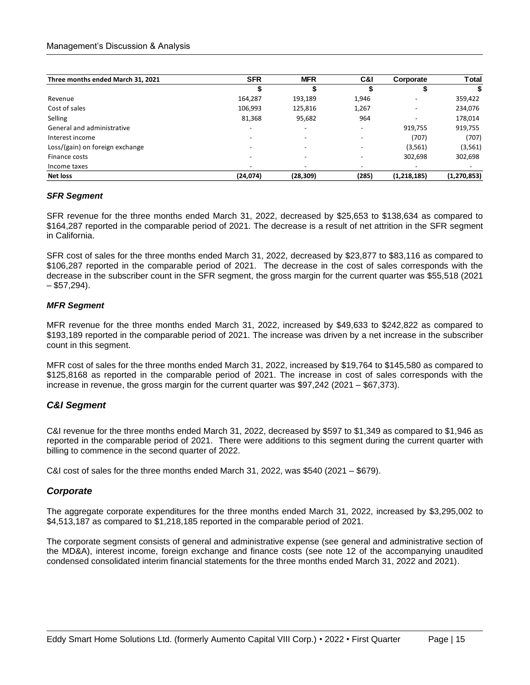| Three months ended March 31, 2021 | <b>SFR</b>               | <b>MFR</b>               | C&I   | Corporate                | <b>T</b> otal |
|-----------------------------------|--------------------------|--------------------------|-------|--------------------------|---------------|
|                                   | จ                        |                          |       |                          | \$            |
| Revenue                           | 164,287                  | 193,189                  | 1,946 | ۰                        | 359,422       |
| Cost of sales                     | 106,993                  | 125,816                  | 1,267 | ۰                        | 234,076       |
| Selling                           | 81,368                   | 95,682                   | 964   | $\overline{\phantom{a}}$ | 178,014       |
| General and administrative        |                          | $\overline{\phantom{a}}$ | -     | 919,755                  | 919,755       |
| Interest income                   |                          | $\overline{\phantom{0}}$ |       | (707)                    | (707)         |
| Loss/(gain) on foreign exchange   | $\overline{\phantom{0}}$ | $\overline{\phantom{0}}$ | -     | (3, 561)                 | (3, 561)      |
| Finance costs                     |                          | $\overline{\phantom{a}}$ |       | 302,698                  | 302,698       |
| Income taxes                      |                          | $\overline{\phantom{a}}$ |       | $\overline{\phantom{a}}$ |               |
| <b>Net loss</b>                   | (24, 074)                | (28, 309)                | (285) | (1, 218, 185)            | (1, 270, 853) |

### *SFR Segment*

SFR revenue for the three months ended March 31, 2022, decreased by \$25,653 to \$138,634 as compared to \$164,287 reported in the comparable period of 2021. The decrease is a result of net attrition in the SFR segment in California.

SFR cost of sales for the three months ended March 31, 2022, decreased by \$23,877 to \$83,116 as compared to \$106,287 reported in the comparable period of 2021. The decrease in the cost of sales corresponds with the decrease in the subscriber count in the SFR segment, the gross margin for the current quarter was \$55,518 (2021  $-$  \$57,294).

### *MFR Segment*

MFR revenue for the three months ended March 31, 2022, increased by \$49,633 to \$242,822 as compared to \$193,189 reported in the comparable period of 2021. The increase was driven by a net increase in the subscriber count in this segment.

MFR cost of sales for the three months ended March 31, 2022, increased by \$19,764 to \$145,580 as compared to \$125,8168 as reported in the comparable period of 2021. The increase in cost of sales corresponds with the increase in revenue, the gross margin for the current quarter was \$97,242 (2021 – \$67,373).

### *C&I Segment*

C&I revenue for the three months ended March 31, 2022, decreased by \$597 to \$1,349 as compared to \$1,946 as reported in the comparable period of 2021. There were additions to this segment during the current quarter with billing to commence in the second quarter of 2022.

C&I cost of sales for the three months ended March 31, 2022, was \$540 (2021 – \$679).

### *Corporate*

The aggregate corporate expenditures for the three months ended March 31, 2022, increased by \$3,295,002 to \$4,513,187 as compared to \$1,218,185 reported in the comparable period of 2021.

The corporate segment consists of general and administrative expense (see general and administrative section of the MD&A), interest income, foreign exchange and finance costs (see note 12 of the accompanying unaudited condensed consolidated interim financial statements for the three months ended March 31, 2022 and 2021).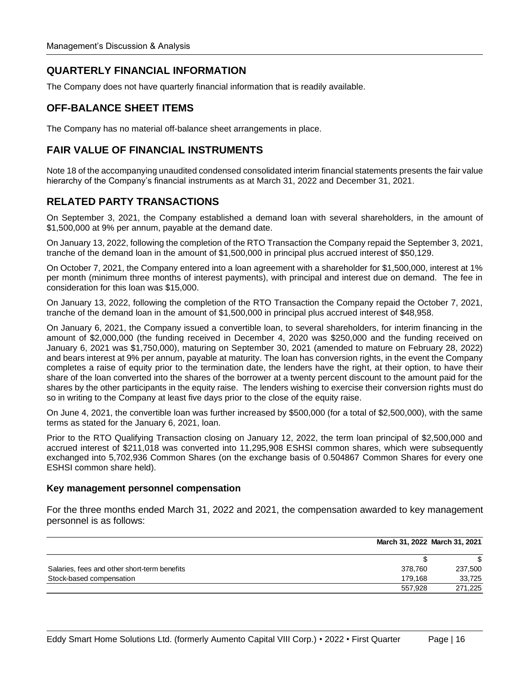# **QUARTERLY FINANCIAL INFORMATION**

The Company does not have quarterly financial information that is readily available.

# **OFF-BALANCE SHEET ITEMS**

The Company has no material off-balance sheet arrangements in place.

# **FAIR VALUE OF FINANCIAL INSTRUMENTS**

Note 18 of the accompanying unaudited condensed consolidated interim financial statements presents the fair value hierarchy of the Company's financial instruments as at March 31, 2022 and December 31, 2021.

# **RELATED PARTY TRANSACTIONS**

On September 3, 2021, the Company established a demand loan with several shareholders, in the amount of \$1,500,000 at 9% per annum, payable at the demand date.

On January 13, 2022, following the completion of the RTO Transaction the Company repaid the September 3, 2021, tranche of the demand loan in the amount of \$1,500,000 in principal plus accrued interest of \$50,129.

On October 7, 2021, the Company entered into a loan agreement with a shareholder for \$1,500,000, interest at 1% per month (minimum three months of interest payments), with principal and interest due on demand. The fee in consideration for this loan was \$15,000.

On January 13, 2022, following the completion of the RTO Transaction the Company repaid the October 7, 2021, tranche of the demand loan in the amount of \$1,500,000 in principal plus accrued interest of \$48,958.

On January 6, 2021, the Company issued a convertible loan, to several shareholders, for interim financing in the amount of \$2,000,000 (the funding received in December 4, 2020 was \$250,000 and the funding received on January 6, 2021 was \$1,750,000), maturing on September 30, 2021 (amended to mature on February 28, 2022) and bears interest at 9% per annum, payable at maturity. The loan has conversion rights, in the event the Company completes a raise of equity prior to the termination date, the lenders have the right, at their option, to have their share of the loan converted into the shares of the borrower at a twenty percent discount to the amount paid for the shares by the other participants in the equity raise. The lenders wishing to exercise their conversion rights must do so in writing to the Company at least five days prior to the close of the equity raise.

On June 4, 2021, the convertible loan was further increased by \$500,000 (for a total of \$2,500,000), with the same terms as stated for the January 6, 2021, loan.

Prior to the RTO Qualifying Transaction closing on January 12, 2022, the term loan principal of \$2,500,000 and accrued interest of \$211,018 was converted into 11,295,908 ESHSI common shares, which were subsequently exchanged into 5,702,936 Common Shares (on the exchange basis of 0.504867 Common Shares for every one ESHSI common share held).

### **Key management personnel compensation**

For the three months ended March 31, 2022 and 2021, the compensation awarded to key management personnel is as follows:

|                                              | March 31, 2022 March 31, 2021 |         |
|----------------------------------------------|-------------------------------|---------|
|                                              |                               | S       |
| Salaries, fees and other short-term benefits | 378.760                       | 237.500 |
| Stock-based compensation                     | 179.168                       | 33,725  |
|                                              | 557.928                       | 271,225 |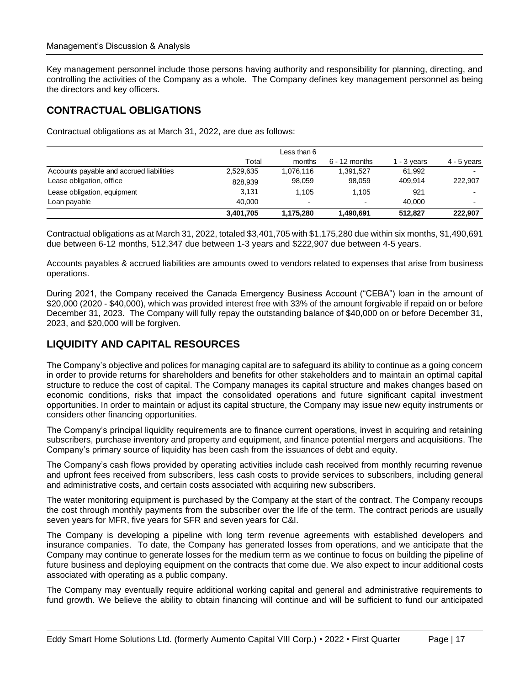Key management personnel include those persons having authority and responsibility for planning, directing, and controlling the activities of the Company as a whole. The Company defines key management personnel as being the directors and key officers.

# **CONTRACTUAL OBLIGATIONS**

Contractual obligations as at March 31, 2022, are due as follows:

|                                          |           | Less than 6    |                          |           |               |
|------------------------------------------|-----------|----------------|--------------------------|-----------|---------------|
|                                          | Total     | months         | $6 - 12$ months          | - 3 years | $4 - 5$ years |
| Accounts payable and accrued liabilities | 2.529.635 | 1.076.116      | 1.391.527                | 61.992    |               |
| Lease obligation, office                 | 828.939   | 98.059         | 98.059                   | 409.914   | 222,907       |
| Lease obligation, equipment              | 3.131     | 1.105          | 1.105                    | 921       |               |
| Loan payable                             | 40.000    | $\blacksquare$ | $\overline{\phantom{0}}$ | 40.000    |               |
|                                          | 3.401.705 | 1.175.280      | 1.490.691                | 512.827   | 222.907       |

Contractual obligations as at March 31, 2022, totaled \$3,401,705 with \$1,175,280 due within six months, \$1,490,691 due between 6-12 months, 512,347 due between 1-3 years and \$222,907 due between 4-5 years.

Accounts payables & accrued liabilities are amounts owed to vendors related to expenses that arise from business operations.

During 2021, the Company received the Canada Emergency Business Account ("CEBA") loan in the amount of \$20,000 (2020 - \$40,000), which was provided interest free with 33% of the amount forgivable if repaid on or before December 31, 2023. The Company will fully repay the outstanding balance of \$40,000 on or before December 31, 2023, and \$20,000 will be forgiven.

# **LIQUIDITY AND CAPITAL RESOURCES**

The Company's objective and polices for managing capital are to safeguard its ability to continue as a going concern in order to provide returns for shareholders and benefits for other stakeholders and to maintain an optimal capital structure to reduce the cost of capital. The Company manages its capital structure and makes changes based on economic conditions, risks that impact the consolidated operations and future significant capital investment opportunities. In order to maintain or adjust its capital structure, the Company may issue new equity instruments or considers other financing opportunities.

The Company's principal liquidity requirements are to finance current operations, invest in acquiring and retaining subscribers, purchase inventory and property and equipment, and finance potential mergers and acquisitions. The Company's primary source of liquidity has been cash from the issuances of debt and equity.

The Company's cash flows provided by operating activities include cash received from monthly recurring revenue and upfront fees received from subscribers, less cash costs to provide services to subscribers, including general and administrative costs, and certain costs associated with acquiring new subscribers.

The water monitoring equipment is purchased by the Company at the start of the contract. The Company recoups the cost through monthly payments from the subscriber over the life of the term. The contract periods are usually seven years for MFR, five years for SFR and seven years for C&I.

The Company is developing a pipeline with long term revenue agreements with established developers and insurance companies. To date, the Company has generated losses from operations, and we anticipate that the Company may continue to generate losses for the medium term as we continue to focus on building the pipeline of future business and deploying equipment on the contracts that come due. We also expect to incur additional costs associated with operating as a public company.

The Company may eventually require additional working capital and general and administrative requirements to fund growth. We believe the ability to obtain financing will continue and will be sufficient to fund our anticipated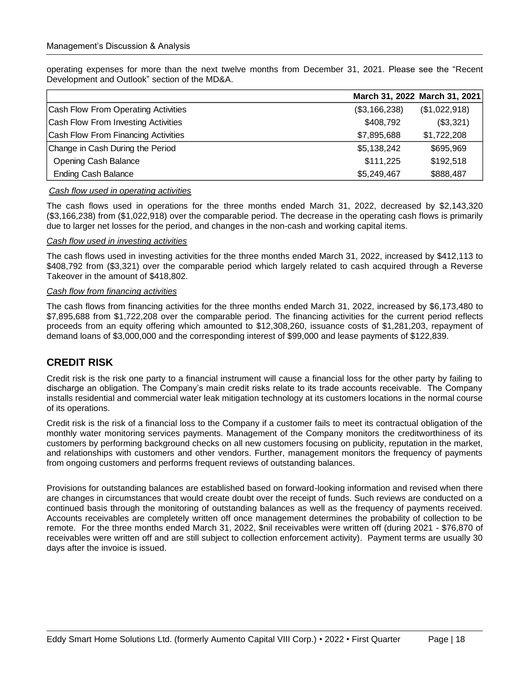operating expenses for more than the next twelve months from December 31, 2021. Please see the "Recent Development and Outlook" section of the MD&A.

|                                     | March 31, 2022 March 31, 2021 |               |
|-------------------------------------|-------------------------------|---------------|
| Cash Flow From Operating Activities | (\$3,166,238)                 | (\$1,022,918) |
| Cash Flow From Investing Activities | \$408,792                     | (\$3,321)     |
| Cash Flow From Financing Activities | \$7,895,688                   | \$1,722,208   |
| Change in Cash During the Period    | \$5,138,242                   | \$695,969     |
| <b>Opening Cash Balance</b>         | \$111,225                     | \$192,518     |
| <b>Ending Cash Balance</b>          | \$5,249,467                   | \$888,487     |

### *Cash flow used in operating activities*

The cash flows used in operations for the three months ended March 31, 2022, decreased by \$2,143,320 (\$3,166,238) from (\$1,022,918) over the comparable period. The decrease in the operating cash flows is primarily due to larger net losses for the period, and changes in the non-cash and working capital items.

#### *Cash flow used in investing activities*

The cash flows used in investing activities for the three months ended March 31, 2022, increased by \$412,113 to \$408,792 from (\$3,321) over the comparable period which largely related to cash acquired through a Reverse Takeover in the amount of \$418,802.

#### *Cash flow from financing activities*

The cash flows from financing activities for the three months ended March 31, 2022, increased by \$6,173,480 to \$7,895,688 from \$1,722,208 over the comparable period. The financing activities for the current period reflects proceeds from an equity offering which amounted to \$12,308,260, issuance costs of \$1,281,203, repayment of demand loans of \$3,000,000 and the corresponding interest of \$99,000 and lease payments of \$122,839.

### **CREDIT RISK**

Credit risk is the risk one party to a financial instrument will cause a financial loss for the other party by failing to discharge an obligation. The Company's main credit risks relate to its trade accounts receivable. The Company installs residential and commercial water leak mitigation technology at its customers locations in the normal course of its operations.

Credit risk is the risk of a financial loss to the Company if a customer fails to meet its contractual obligation of the monthly water monitoring services payments. Management of the Company monitors the creditworthiness of its customers by performing background checks on all new customers focusing on publicity, reputation in the market, and relationships with customers and other vendors. Further, management monitors the frequency of payments from ongoing customers and performs frequent reviews of outstanding balances.

Provisions for outstanding balances are established based on forward-looking information and revised when there are changes in circumstances that would create doubt over the receipt of funds. Such reviews are conducted on a continued basis through the monitoring of outstanding balances as well as the frequency of payments received. Accounts receivables are completely written off once management determines the probability of collection to be remote. For the three months ended March 31, 2022, \$nil receivables were written off (during 2021 - \$76,870 of receivables were written off and are still subject to collection enforcement activity). Payment terms are usually 30 days after the invoice is issued.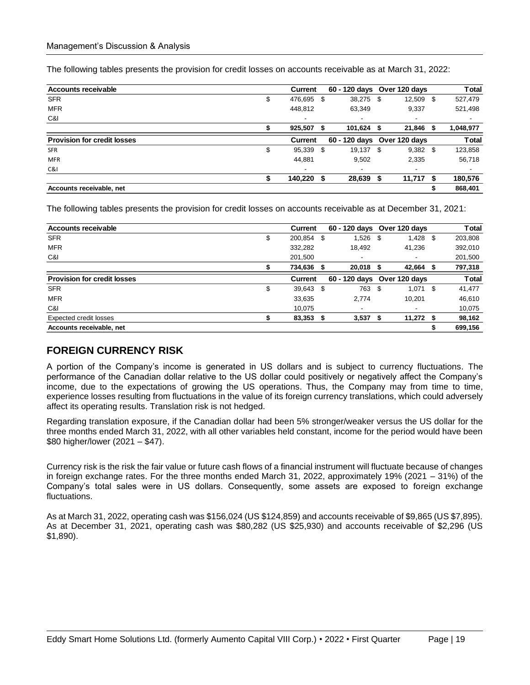The following tables presents the provision for credit losses on accounts receivable as at March 31, 2022:

| <b>Accounts receivable</b>         | <b>Current</b>           |    | 60 - 120 days Over 120 days |             |   | <b>T</b> otal |
|------------------------------------|--------------------------|----|-----------------------------|-------------|---|---------------|
| <b>SFR</b>                         | \$<br>476,695            | S  | 38,275 \$                   | 12,509 \$   |   | 527,479       |
| <b>MFR</b>                         | 448,812                  |    | 63,349                      | 9,337       |   | 521,498       |
| C&I                                | $\overline{\phantom{a}}$ |    |                             | ٠           |   | ٠             |
|                                    | 925,507                  | S  | $101,624$ \$                | 21,846      | S | 1,048,977     |
| <b>Provision for credit losses</b> | Current                  |    | 60 - 120 days Over 120 days |             |   | <b>Total</b>  |
| <b>SFR</b>                         | \$<br>95,339             | \$ | 19,137 \$                   | $9,382$ \$  |   | 123,858       |
| <b>MFR</b>                         | 44,881                   |    | 9.502                       | 2,335       |   | 56,718        |
| C&I                                |                          |    |                             |             |   |               |
|                                    | 140,220                  |    | 28,639 \$                   | $11,717$ \$ |   | 180,576       |
| Accounts receivable, net           |                          |    |                             |             |   | 868,401       |

The following tables presents the provision for credit losses on accounts receivable as at December 31, 2021:

| <b>Accounts receivable</b>         | Current       |    | 60 - 120 days Over 120 days |   |                          |     | <b>Total</b> |
|------------------------------------|---------------|----|-----------------------------|---|--------------------------|-----|--------------|
| <b>SFR</b>                         | \$<br>200,854 | S  | $1,526$ \$                  |   | 1,428                    | -\$ | 203,808      |
| <b>MFR</b>                         | 332,282       |    | 18,492                      |   | 41,236                   |     | 392,010      |
| C&I                                | 201,500       |    | ٠                           |   | ٠                        |     | 201,500      |
|                                    | 734,636       | S  | 20.018 \$                   |   | 42,664                   |     | 797,318      |
| <b>Provision for credit losses</b> | Current       |    | 60 - 120 days Over 120 days |   |                          |     | <b>Total</b> |
| <b>SFR</b>                         | \$<br>39,643  | -S | 763 \$                      |   | $1,071$ \$               |     | 41,477       |
| <b>MFR</b>                         | 33,635        |    | 2.774                       |   | 10,201                   |     | 46,610       |
| C&I                                | 10,075        |    | ٠                           |   | $\overline{\phantom{a}}$ |     | 10,075       |
| <b>Expected credit losses</b>      | 83,353        | \$ | 3,537                       | S | $11,272$ \$              |     | 98,162       |
| Accounts receivable, net           |               |    |                             |   |                          |     | 699,156      |

### **FOREIGN CURRENCY RISK**

A portion of the Company's income is generated in US dollars and is subject to currency fluctuations. The performance of the Canadian dollar relative to the US dollar could positively or negatively affect the Company's income, due to the expectations of growing the US operations. Thus, the Company may from time to time, experience losses resulting from fluctuations in the value of its foreign currency translations, which could adversely affect its operating results. Translation risk is not hedged.

Regarding translation exposure, if the Canadian dollar had been 5% stronger/weaker versus the US dollar for the three months ended March 31, 2022, with all other variables held constant, income for the period would have been \$80 higher/lower (2021 – \$47).

Currency risk is the risk the fair value or future cash flows of a financial instrument will fluctuate because of changes in foreign exchange rates. For the three months ended March 31, 2022, approximately 19% (2021 – 31%) of the Company's total sales were in US dollars. Consequently, some assets are exposed to foreign exchange fluctuations.

As at March 31, 2022, operating cash was \$156,024 (US \$124,859) and accounts receivable of \$9,865 (US \$7,895). As at December 31, 2021, operating cash was \$80,282 (US \$25,930) and accounts receivable of \$2,296 (US \$1,890).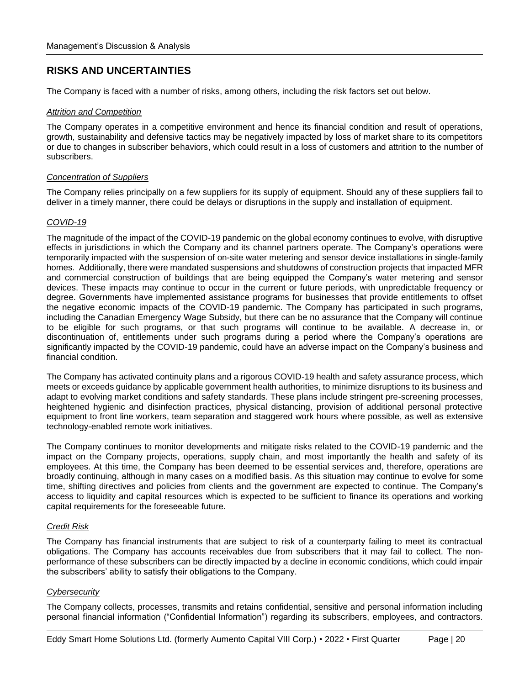# **RISKS AND UNCERTAINTIES**

The Company is faced with a number of risks, among others, including the risk factors set out below.

### *Attrition and Competition*

The Company operates in a competitive environment and hence its financial condition and result of operations, growth, sustainability and defensive tactics may be negatively impacted by loss of market share to its competitors or due to changes in subscriber behaviors, which could result in a loss of customers and attrition to the number of subscribers.

### *Concentration of Suppliers*

The Company relies principally on a few suppliers for its supply of equipment. Should any of these suppliers fail to deliver in a timely manner, there could be delays or disruptions in the supply and installation of equipment.

### *COVID-19*

The magnitude of the impact of the COVID-19 pandemic on the global economy continues to evolve, with disruptive effects in jurisdictions in which the Company and its channel partners operate. The Company's operations were temporarily impacted with the suspension of on-site water metering and sensor device installations in single-family homes. Additionally, there were mandated suspensions and shutdowns of construction projects that impacted MFR and commercial construction of buildings that are being equipped the Company's water metering and sensor devices. These impacts may continue to occur in the current or future periods, with unpredictable frequency or degree. Governments have implemented assistance programs for businesses that provide entitlements to offset the negative economic impacts of the COVID-19 pandemic. The Company has participated in such programs, including the Canadian Emergency Wage Subsidy, but there can be no assurance that the Company will continue to be eligible for such programs, or that such programs will continue to be available. A decrease in, or discontinuation of, entitlements under such programs during a period where the Company's operations are significantly impacted by the COVID-19 pandemic, could have an adverse impact on the Company's business and financial condition.

The Company has activated continuity plans and a rigorous COVID-19 health and safety assurance process, which meets or exceeds guidance by applicable government health authorities, to minimize disruptions to its business and adapt to evolving market conditions and safety standards. These plans include stringent pre-screening processes, heightened hygienic and disinfection practices, physical distancing, provision of additional personal protective equipment to front line workers, team separation and staggered work hours where possible, as well as extensive technology-enabled remote work initiatives.

The Company continues to monitor developments and mitigate risks related to the COVID-19 pandemic and the impact on the Company projects, operations, supply chain, and most importantly the health and safety of its employees. At this time, the Company has been deemed to be essential services and, therefore, operations are broadly continuing, although in many cases on a modified basis. As this situation may continue to evolve for some time, shifting directives and policies from clients and the government are expected to continue. The Company's access to liquidity and capital resources which is expected to be sufficient to finance its operations and working capital requirements for the foreseeable future.

### *Credit Risk*

The Company has financial instruments that are subject to risk of a counterparty failing to meet its contractual obligations. The Company has accounts receivables due from subscribers that it may fail to collect. The nonperformance of these subscribers can be directly impacted by a decline in economic conditions, which could impair the subscribers' ability to satisfy their obligations to the Company.

### *Cybersecurity*

The Company collects, processes, transmits and retains confidential, sensitive and personal information including personal financial information ("Confidential Information") regarding its subscribers, employees, and contractors.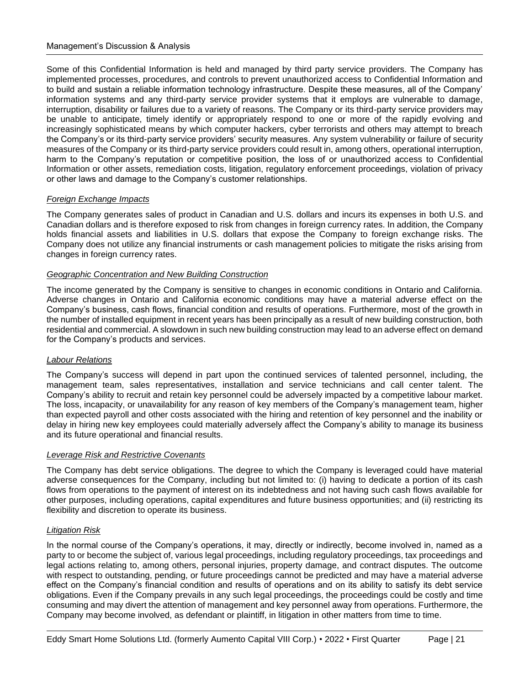Some of this Confidential Information is held and managed by third party service providers. The Company has implemented processes, procedures, and controls to prevent unauthorized access to Confidential Information and to build and sustain a reliable information technology infrastructure. Despite these measures, all of the Company' information systems and any third-party service provider systems that it employs are vulnerable to damage, interruption, disability or failures due to a variety of reasons. The Company or its third-party service providers may be unable to anticipate, timely identify or appropriately respond to one or more of the rapidly evolving and increasingly sophisticated means by which computer hackers, cyber terrorists and others may attempt to breach the Company's or its third-party service providers' security measures. Any system vulnerability or failure of security measures of the Company or its third-party service providers could result in, among others, operational interruption, harm to the Company's reputation or competitive position, the loss of or unauthorized access to Confidential Information or other assets, remediation costs, litigation, regulatory enforcement proceedings, violation of privacy or other laws and damage to the Company's customer relationships.

### *Foreign Exchange Impacts*

The Company generates sales of product in Canadian and U.S. dollars and incurs its expenses in both U.S. and Canadian dollars and is therefore exposed to risk from changes in foreign currency rates. In addition, the Company holds financial assets and liabilities in U.S. dollars that expose the Company to foreign exchange risks. The Company does not utilize any financial instruments or cash management policies to mitigate the risks arising from changes in foreign currency rates.

### *Geographic Concentration and New Building Construction*

The income generated by the Company is sensitive to changes in economic conditions in Ontario and California. Adverse changes in Ontario and California economic conditions may have a material adverse effect on the Company's business, cash flows, financial condition and results of operations. Furthermore, most of the growth in the number of installed equipment in recent years has been principally as a result of new building construction, both residential and commercial. A slowdown in such new building construction may lead to an adverse effect on demand for the Company's products and services.

### *Labour Relations*

The Company's success will depend in part upon the continued services of talented personnel, including, the management team, sales representatives, installation and service technicians and call center talent. The Company's ability to recruit and retain key personnel could be adversely impacted by a competitive labour market. The loss, incapacity, or unavailability for any reason of key members of the Company's management team, higher than expected payroll and other costs associated with the hiring and retention of key personnel and the inability or delay in hiring new key employees could materially adversely affect the Company's ability to manage its business and its future operational and financial results.

### *Leverage Risk and Restrictive Covenants*

The Company has debt service obligations. The degree to which the Company is leveraged could have material adverse consequences for the Company, including but not limited to: (i) having to dedicate a portion of its cash flows from operations to the payment of interest on its indebtedness and not having such cash flows available for other purposes, including operations, capital expenditures and future business opportunities; and (ii) restricting its flexibility and discretion to operate its business.

### *Litigation Risk*

In the normal course of the Company's operations, it may, directly or indirectly, become involved in, named as a party to or become the subject of, various legal proceedings, including regulatory proceedings, tax proceedings and legal actions relating to, among others, personal injuries, property damage, and contract disputes. The outcome with respect to outstanding, pending, or future proceedings cannot be predicted and may have a material adverse effect on the Company's financial condition and results of operations and on its ability to satisfy its debt service obligations. Even if the Company prevails in any such legal proceedings, the proceedings could be costly and time consuming and may divert the attention of management and key personnel away from operations. Furthermore, the Company may become involved, as defendant or plaintiff, in litigation in other matters from time to time.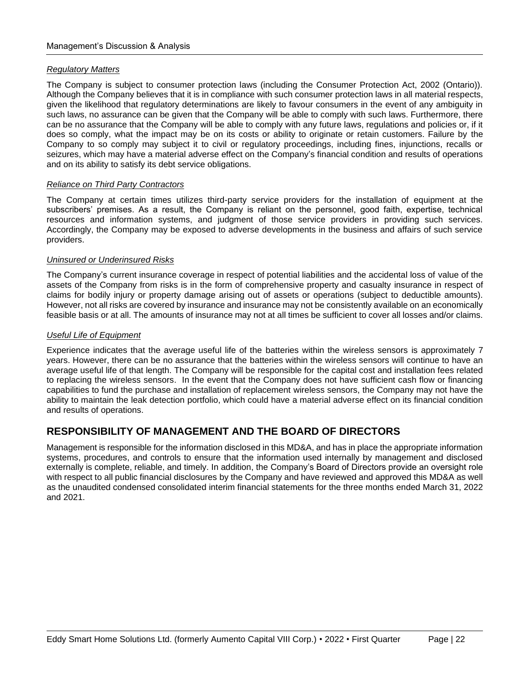### *Regulatory Matters*

The Company is subject to consumer protection laws (including the Consumer Protection Act, 2002 (Ontario)). Although the Company believes that it is in compliance with such consumer protection laws in all material respects, given the likelihood that regulatory determinations are likely to favour consumers in the event of any ambiguity in such laws, no assurance can be given that the Company will be able to comply with such laws. Furthermore, there can be no assurance that the Company will be able to comply with any future laws, regulations and policies or, if it does so comply, what the impact may be on its costs or ability to originate or retain customers. Failure by the Company to so comply may subject it to civil or regulatory proceedings, including fines, injunctions, recalls or seizures, which may have a material adverse effect on the Company's financial condition and results of operations and on its ability to satisfy its debt service obligations.

### *Reliance on Third Party Contractors*

The Company at certain times utilizes third-party service providers for the installation of equipment at the subscribers' premises. As a result, the Company is reliant on the personnel, good faith, expertise, technical resources and information systems, and judgment of those service providers in providing such services. Accordingly, the Company may be exposed to adverse developments in the business and affairs of such service providers.

### *Uninsured or Underinsured Risks*

The Company's current insurance coverage in respect of potential liabilities and the accidental loss of value of the assets of the Company from risks is in the form of comprehensive property and casualty insurance in respect of claims for bodily injury or property damage arising out of assets or operations (subject to deductible amounts). However, not all risks are covered by insurance and insurance may not be consistently available on an economically feasible basis or at all. The amounts of insurance may not at all times be sufficient to cover all losses and/or claims.

### *Useful Life of Equipment*

Experience indicates that the average useful life of the batteries within the wireless sensors is approximately 7 years. However, there can be no assurance that the batteries within the wireless sensors will continue to have an average useful life of that length. The Company will be responsible for the capital cost and installation fees related to replacing the wireless sensors. In the event that the Company does not have sufficient cash flow or financing capabilities to fund the purchase and installation of replacement wireless sensors, the Company may not have the ability to maintain the leak detection portfolio, which could have a material adverse effect on its financial condition and results of operations.

# **RESPONSIBILITY OF MANAGEMENT AND THE BOARD OF DIRECTORS**

Management is responsible for the information disclosed in this MD&A, and has in place the appropriate information systems, procedures, and controls to ensure that the information used internally by management and disclosed externally is complete, reliable, and timely. In addition, the Company's Board of Directors provide an oversight role with respect to all public financial disclosures by the Company and have reviewed and approved this MD&A as well as the unaudited condensed consolidated interim financial statements for the three months ended March 31, 2022 and 2021.